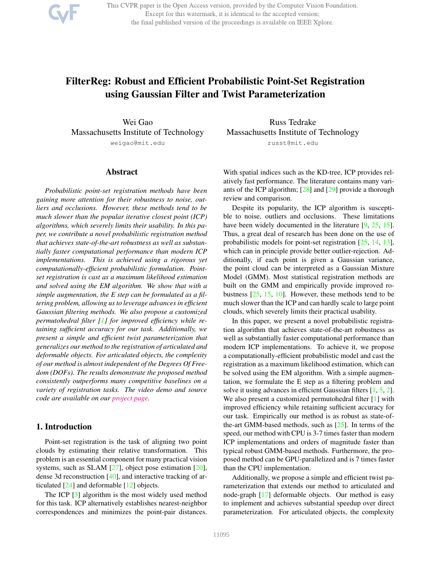This CVPR paper is the Open Access version, provided by the Computer Vision Foundation. Except for this watermark, it is identical to the accepted version; the final published version of the proceedings is available on IEEE Xplore.

# FilterReg: Robust and Efficient Probabilistic Point-Set Registration using Gaussian Filter and Twist Parameterization

Wei Gao Massachusetts Institute of Technology weigao@mit.edu

### Abstract

*Probabilistic point-set registration methods have been gaining more attention for their robustness to noise, outliers and occlusions. However, these methods tend to be much slower than the popular iterative closest point (ICP) algorithms, which severely limits their usability. In this paper, we contribute a novel probabilistic registration method that achieves state-of-the-art robustness as well as substantially faster computational performance than modern ICP implementations. This is achieved using a rigorous yet computationally-efficient probabilistic formulation. Pointset registration is cast as a maximum likelihood estimation and solved using the EM algorithm. We show that with a simple augmentation, the E step can be formulated as a filtering problem, allowing us to leverage advances in efficient Gaussian filtering methods. We also propose a customized permutohedral filter [1] for improved efficiency while retaining sufficient accuracy for our task. Additionally, we present a simple and efficient twist parameterization that generalizes our method to the registration of articulated and deformable objects. For articulated objects, the complexity of our method is almost independent of the Degrees Of Freedom (DOFs). The results demonstrate the proposed method consistently outperforms many competitive baselines on a variety of registration tasks. The video demo and source code are available on our project page.*

### 1. Introduction

Point-set registration is the task of aligning two point clouds by estimating their relative transformation. This problem is an essential component for many practical vision systems, such as SLAM  $[27]$ , object pose estimation  $[20]$ , dense 3d reconstruction [40], and interactive tracking of articulated [24] and deformable [12] objects.

The ICP [3] algorithm is the most widely used method for this task. ICP alternatively establishes nearest-neighbor correspondences and minimizes the point-pair distances.

Russ Tedrake Massachusetts Institute of Technology russt@mit.edu

With spatial indices such as the KD-tree, ICP provides relatively fast performance. The literature contains many variants of the ICP algorithm; [28] and [29] provide a thorough review and comparison.

Despite its popularity, the ICP algorithm is susceptible to noise, outliers and occlusions. These limitations have been widely documented in the literature [9, 25, 15]. Thus, a great deal of research has been done on the use of probabilistic models for point-set registration [25, 14, 13], which can in principle provide better outlier-rejection. Additionally, if each point is given a Gaussian variance, the point cloud can be interpreted as a Gaussian Mixture Model (GMM). Most statistical registration methods are built on the GMM and empirically provide improved robustness  $[25, 15, 10]$ . However, these methods tend to be much slower than the ICP and can hardly scale to large point clouds, which severely limits their practical usability.

In this paper, we present a novel probabilistic registration algorithm that achieves state-of-the-art robustness as well as substantially faster computational performance than modern ICP implementations. To achieve it, we propose a computationally-efficient probabilistic model and cast the registration as a maximum likelihood estimation, which can be solved using the EM algorithm. With a simple augmentation, we formulate the E step as a filtering problem and solve it using advances in efficient Gaussian filters [1, 5, 2]. We also present a customized permutohedral filter [1] with improved efficiency while retaining sufficient accuracy for our task. Empirically our method is as robust as state-ofthe-art GMM-based methods, such as  $[25]$ . In terms of the speed, our method with CPU is 3-7 times faster than modern ICP implementations and orders of magnitude faster than typical robust GMM-based methods. Furthermore, the proposed method can be GPU-parallelized and is 7 times faster than the CPU implementation.

Additionally, we propose a simple and efficient twist parameterization that extends our method to articulated and node-graph [17] deformable objects. Our method is easy to implement and achieves substantial speedup over direct parameterization. For articulated objects, the complexity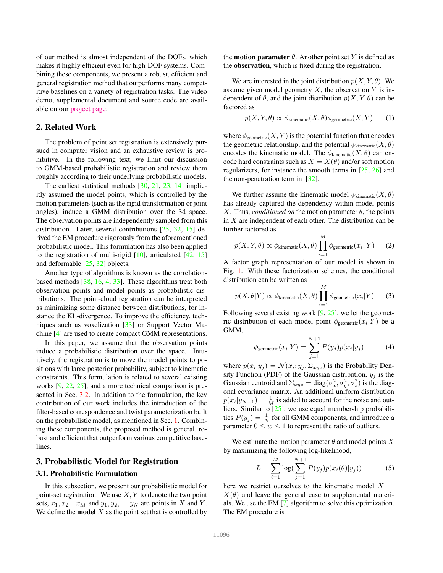of our method is almost independent of the DOFs, which makes it highly efficient even for high-DOF systems. Combining these components, we present a robust, efficient and general registration method that outperforms many competitive baselines on a variety of registration tasks. The video demo, supplemental document and source code are available on our project page.

## 2. Related Work

The problem of point set registration is extensively pursued in computer vision and an exhaustive review is prohibitive. In the following text, we limit our discussion to GMM-based probabilistic registration and review them roughly according to their underlying probabilistic models.

The earliest statistical methods [30, 21, 23, 14] implicitly assumed the model points, which is controlled by the motion parameters (such as the rigid transformation or joint angles), induce a GMM distribution over the 3d space. The observation points are independently sampled from this distribution. Later, several contributions [25, 32, 15] derived the EM procedure rigorously from the aforementioned probabilistic model. This formulation has also been applied to the registration of multi-rigid  $[10]$ , articulated  $[42, 15]$ and deformable [25, 32] objects.

Another type of algorithms is known as the correlationbased methods [38, 16, 4, 33]. These algorithms treat both observation points and model points as probabilistic distributions. The point-cloud registration can be interpreted as minimizing some distance between distributions, for instance the KL-divergence. To improve the efficiency, techniques such as voxelization [33] or Support Vector Machine [4] are used to create compact GMM representations.

In this paper, we assume that the observation points induce a probabilistic distribution over the space. Intuitively, the registration is to move the model points to positions with large posterior probability, subject to kinematic constraints. This formulation is related to several existing works [9, 22, 25], and a more technical comparison is presented in Sec. 3.2. In addition to the formulation, the key contribution of our work includes the introduction of the filter-based correspondence and twist parameterization built on the probabilistic model, as mentioned in Sec. 1. Combining these components, the proposed method is general, robust and efficient that outperform various competitive baselines.

### 3. Probabilistic Model for Registration

### 3.1. Probabilistic Formulation

In this subsection, we present our probabilistic model for point-set registration. We use  $X, Y$  to denote the two point sets,  $x_1, x_2, ... x_M$  and  $y_1, y_2, ..., y_N$  are points in X and Y. We define the **model**  $X$  as the point set that is controlled by

the **motion parameter**  $\theta$ . Another point set Y is defined as the observation, which is fixed during the registration.

We are interested in the joint distribution  $p(X, Y, \theta)$ . We assume given model geometry  $X$ , the observation  $Y$  is independent of  $\theta$ , and the joint distribution  $p(X, Y, \theta)$  can be factored as

$$
p(X, Y, \theta) \propto \phi_{\text{kinematic}}(X, \theta)\phi_{\text{geometric}}(X, Y) \tag{1}
$$

where  $\phi_{\text{geometric}}(X, Y)$  is the potential function that encodes the geometric relationship, and the potential  $\phi_{\text{kinematic}}(X, \theta)$ encodes the kinematic model. The  $\phi_{\text{kinematic}}(X, \theta)$  can encode hard constraints such as  $X = X(\theta)$  and/or soft motion regularizers, for instance the smooth terms in [25, 26] and the non-penetration term in [32].

We further assume the kinematic model  $\phi_{\text{kinematic}}(X, \theta)$ has already captured the dependency within model points X. Thus, *conditioned on* the motion parameter  $\theta$ , the points in  $X$  are independent of each other. The distribution can be further factored as  $\lambda$ 

$$
p(X, Y, \theta) \propto \phi_{\text{kinematic}}(X, \theta) \prod_{i=1}^{M} \phi_{\text{geometric}}(x_i, Y) \qquad (2)
$$

A factor graph representation of our model is shown in Fig. 1. With these factorization schemes, the conditional distribution can be written as

$$
p(X, \theta|Y) \propto \phi_{\text{kinematic}}(X, \theta) \prod_{i=1}^{M} \phi_{\text{geometric}}(x_i|Y) \tag{3}
$$

Following several existing work  $[9, 25]$ , we let the geometric distribution of each model point  $\phi_{\text{geometric}}(x_i|Y)$  be a GMM,

$$
\phi_{\text{geometric}}(x_i|Y) = \sum_{j=1}^{N+1} P(y_j) p(x_i|y_j) \tag{4}
$$

where  $p(x_i|y_j) = \mathcal{N}(x_i; y_j, \Sigma_{xyz})$  is the Probability Density Function (PDF) of the Gaussian distribution,  $y_j$  is the Gaussian centroid and  $\Sigma_{xyz} = \text{diag}(\sigma_x^2, \sigma_y^2, \sigma_z^2)$  is the diagonal covariance matrix. An additional uniform distribution  $p(x_i|y_{N+1}) = \frac{1}{M}$  is added to account for the noise and outliers. Similar to [25], we use equal membership probabilities  $P(y_j) = \frac{1}{N}$  for all GMM components, and introduce a parameter  $0 \le w \le 1$  to represent the ratio of outliers.

We estimate the motion parameter  $\theta$  and model points X by maximizing the following log-likelihood,

$$
L = \sum_{i=1}^{M} \log(\sum_{j=1}^{N+1} P(y_j) p(x_i(\theta)|y_j))
$$
 (5)

here we restrict ourselves to the kinematic model  $X =$  $X(\theta)$  and leave the general case to supplemental materials. We use the EM [7] algorithm to solve this optimization. The EM procedure is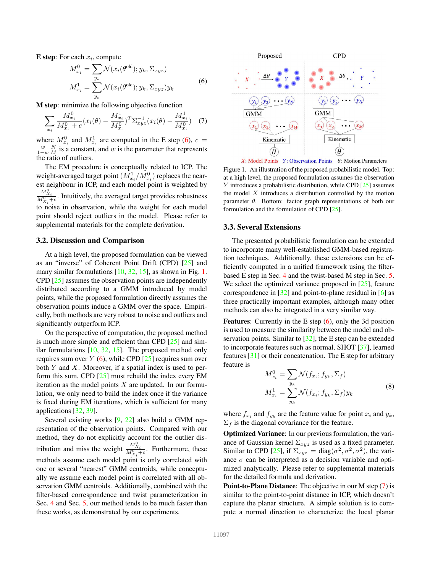**E** step: For each  $x_i$ , compute

$$
M_{x_i}^0 = \sum_{y_k} \mathcal{N}(x_i(\theta^{\text{old}}); y_k, \Sigma_{xyz})
$$
  

$$
M_{x_i}^1 = \sum_{y_k} \mathcal{N}(x_i(\theta^{\text{old}}); y_k, \Sigma_{xyz}) y_k
$$
 (6)

M step: minimize the following objective function

$$
\sum_{x_i} \frac{M_{x_i}^0}{M_{x_i}^0 + c} (x_i(\theta) - \frac{M_{x_i}^1}{M_{x_i}^0})^T \Sigma_{xyz}^{-1} (x_i(\theta) - \frac{M_{x_i}^1}{M_{x_i}^0}) \quad (7)
$$

where  $M_{x_i}^0$  and  $M_{x_i}^1$  are computed in the E step (6),  $c =$  $\frac{w}{1-w} \frac{N}{M}$  is a constant, and w is the parameter that represents the ratio of outliers.

The EM procedure is conceptually related to ICP. The weight-averaged target point  $(M_{x_i}^1/M_{x_i}^0)$  replaces the nearest neighbour in ICP, and each model point is weighted by  $\frac{M_{X_i}^0}{M_{X_i}^0+c}$ . Intuitively, the averaged target provides robustness to noise in observation, while the weight for each model point should reject outliers in the model. Please refer to supplemental materials for the complete derivation.

### 3.2. Discussion and Comparison

At a high level, the proposed formulation can be viewed as an "inverse" of Coherent Point Drift (CPD) [25] and many similar formulations  $[10, 32, 15]$ , as shown in Fig. 1. CPD [25] assumes the observation points are independently distributed according to a GMM introduced by model points, while the proposed formulation directly assumes the observation points induce a GMM over the space. Empirically, both methods are very robust to noise and outliers and significantly outperform ICP.

On the perspective of computation, the proposed method is much more simple and efficient than CPD [25] and similar formulations [10, 32, 15]. The proposed method only requires sum over  $Y$  (6), while CPD [25] requires sum over both  $Y$  and  $X$ . Moreover, if a spatial index is used to perform this sum, CPD [25] must rebuild the index every EM iteration as the model points  $X$  are updated. In our formulation, we only need to build the index once if the variance is fixed during EM iterations, which is sufficient for many applications [32, 39].

Several existing works [9, 22] also build a GMM representation of the observation points. Compared with our method, they do not explicitly account for the outlier distribution and miss the weight  $\frac{M_{X_i}^0}{M_{X_i}^0+c}$ . Furthermore, these methods assume each model point is only correlated with one or several "nearest" GMM centroids, while conceptually we assume each model point is correlated with all observation GMM centroids. Additionally, combined with the filter-based correspondence and twist parameterization in Sec. 4 and Sec. 5, our method tends to be much faster than these works, as demonstrated by our experiments.



X: Model Points Y: Observation Points  $\theta$ : Motion Parameters

Figure 1. An illustration of the proposed probabilistic model. Top: at a high level, the proposed formulation assumes the observation Y introduces a probabilistic distribution, while CPD [25] assumes the model  $X$  introduces a distribution controlled by the motion parameter  $\theta$ . Bottom: factor graph representations of both our formulation and the formulation of CPD [25].

#### 3.3. Several Extensions

The presented probabilistic formulation can be extended to incorporate many well-established GMM-based registration techniques. Additionally, these extensions can be efficiently computed in a unified framework using the filterbased E step in Sec. 4 and the twist-based M step in Sec. 5. We select the optimized variance proposed in [25], feature correspondence in [32] and point-to-plane residual in [6] as three practically important examples, although many other methods can also be integrated in a very similar way.

**Features:** Currently in the E step  $(6)$ , only the 3d position is used to measure the similarity between the model and observation points. Similar to [32], the E step can be extended to incorporate features such as normal, SHOT [37], learned features [31] or their concatenation. The E step for arbitrary feature is

$$
M_{x_i}^0 = \sum_{y_k} \mathcal{N}(f_{x_i}; f_{y_k}, \Sigma_f)
$$
  

$$
M_{x_i}^1 = \sum_{y_k} \mathcal{N}(f_{x_i}; f_{y_k}, \Sigma_f) y_k
$$
 (8)

where  $f_{x_i}$  and  $f_{y_k}$  are the feature value for point  $x_i$  and  $y_k$ ,  $\Sigma_f$  is the diagonal covariance for the feature.

Optimized Variance: In our previous formulation, the variance of Gaussian kernel  $\Sigma_{xyz}$  is used as a fixed parameter. Similar to CPD [25], if  $\Sigma_{xyz} = \text{diag}(\sigma^2, \sigma^2, \sigma^2)$ , the variance  $\sigma$  can be interpreted as a decision variable and optimized analytically. Please refer to supplemental materials for the detailed formula and derivation.

Point-to-Plane Distance: The objective in our M step (7) is similar to the point-to-point distance in ICP, which doesn't capture the planar structure. A simple solution is to compute a normal direction to characterize the local planar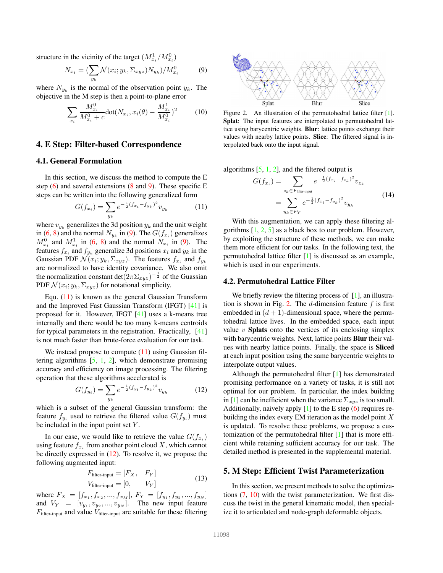structure in the vicinity of the target  $(M_{x_i}^1/M_{x_i}^0)$ 

$$
N_{x_i} = \left(\sum_{y_k} \mathcal{N}(x_i; y_k, \Sigma_{xyz}) N_{y_k}\right) / M_{x_i}^0 \tag{9}
$$

where  $N_{y_k}$  is the normal of the observation point  $y_k$ . The objective in the M step is then a point-to-plane error

$$
\sum_{x_i} \frac{M_{x_i}^0}{M_{x_i}^0 + c} \text{dot}(N_{x_i}, x_i(\theta) - \frac{M_{x_i}^1}{M_{x_i}^0})^2 \tag{10}
$$

#### 4. E Step: Filter-based Correspondence

### 4.1. General Formulation

In this section, we discuss the method to compute the E step  $(6)$  and several extensions  $(8 \text{ and } 9)$ . These specific E steps can be written into the following generalized form

$$
G(f_{x_i}) = \sum_{y_k} e^{-\frac{1}{2}(f_{x_i} - f_{y_k})^2} v_{y_k}
$$
 (11)

where  $v_{y_k}$  generalizes the 3d position  $y_k$  and the unit weight in (6, 8) and the normal  $N_{y_k}$  in (9). The  $G(f_{x_i})$  generalizes  $M_{x_i}^0$  and  $M_{x_i}^1$  in (6, 8) and the normal  $N_{x_i}$  in (9). The features  $f_{x_i}$  and  $f_{y_k}$  generalize 3d positions  $x_i$  and  $y_k$  in the Gaussian PDF  $\mathcal{N}(x_i; y_k, \Sigma_{xyz})$ . The features  $f_{x_i}$  and  $f_{y_k}$ are normalized to have identity covariance. We also omit the normalization constant det $(2\pi\Sigma_{xyz})^{-\frac{1}{2}}$  of the Guassian PDF  $\mathcal{N}(x_i; y_k, \Sigma_{xyz})$  for notational simplicity.

Equ. (11) is known as the general Gaussian Transform and the Improved Fast Gaussian Transform (IFGT) [41] is proposed for it. However, IFGT [41] uses a k-means tree internally and there would be too many k-means centroids for typical parameters in the registration. Practically, [41] is not much faster than brute-force evaluation for our task.

We instead propose to compute  $(11)$  using Gaussian filtering algorithms  $[5, 1, 2]$ , which demonstrate promising accuracy and efficiency on image processing. The filtering operation that these algorithms accelerated is

$$
G(f_{y_i}) = \sum_{y_k} e^{-\frac{1}{2}(f_{y_i} - f_{y_k})^2} v_{y_k}
$$
 (12)

which is a subset of the general Gaussian transform: the feature  $f_{y_i}$  used to retrieve the filtered value  $G(f_{y_i})$  must be included in the input point set  $Y$ .

In our case, we would like to retrieve the value  $G(f_{x_i})$ using feature  $f_{x_i}$  from another point cloud X, which cannot be directly expressed in (12). To resolve it, we propose the following augmented input:

$$
F_{\text{filter-input}} = [F_X, F_Y]
$$
  
\n
$$
V_{\text{filter-input}} = [0, V_Y]
$$
 (13)

where  $F_X = [f_{x_1}, f_{x_2}, ..., f_{x_M}], F_Y = [f_{y_1}, f_{y_2}, ..., f_{y_N}]$ and  $V_Y = [v_{y_1}, v_{y_2}, ..., v_{y_N}]$ . The new input feature  $F_{\text{filter-input}}$  and value  $V_{\text{filter-input}}$  are suitable for these filtering



Figure 2. An illustration of the permutohedral lattice filter [1]. Splat: The input features are interpolated to permutohedral lattice using barycentric weights. Blur: lattice points exchange their values with nearby lattice points. Slice: The filtered signal is interpolated back onto the input signal.

algorithms  $[5, 1, 2]$ , and the filtered output is

$$
G(f_{x_i}) = \sum_{z_k \in F_{\text{filter-input}}} e^{-\frac{1}{2}(f_{x_i} - f_{z_k})^2} v_{z_k}
$$
  
= 
$$
\sum_{y_k \in F_Y} e^{-\frac{1}{2}(f_{x_i} - f_{y_k})^2} v_{y_k}
$$
 (14)

With this augmentation, we can apply these filtering algorithms  $[1, 2, 5]$  as a black box to our problem. However, by exploiting the structure of these methods, we can make them more efficient for our tasks. In the following text, the permutohedral lattice filter [1] is discussed as an example, which is used in our experiments.

#### 4.2. Permutohedral Lattice Filter

We briefly review the filtering process of  $[1]$ , an illustration is shown in Fig. 2. The d-dimension feature  $f$  is first embedded in  $(d + 1)$ -dimensional space, where the permutohedral lattice lives. In the embedded space, each input value  $v$  **Splats** onto the vertices of its enclosing simplex with barycentric weights. Next, lattice points Blur their values with nearby lattice points. Finally, the space is Sliced at each input position using the same barycentric weights to interpolate output values.

Although the permutohedral filter [1] has demonstrated promising performance on a variety of tasks, it is still not optimal for our problem. In particular, the index building in [1] can be inefficient when the variance  $\Sigma_{xyz}$  is too small. Additionally, naively apply  $[1]$  to the E step (6) requires rebuilding the index every EM iteration as the model point  $X$ is updated. To resolve these problems, we propose a customization of the permutohedral filter [1] that is more efficient while retaining sufficient accuracy for our task. The detailed method is presented in the supplemental material.

### 5. M Step: Efficient Twist Parameterization

In this section, we present methods to solve the optimizations (7, 10) with the twist parameterization. We first discuss the twist in the general kinematic model, then specialize it to articulated and node-graph deformable objects.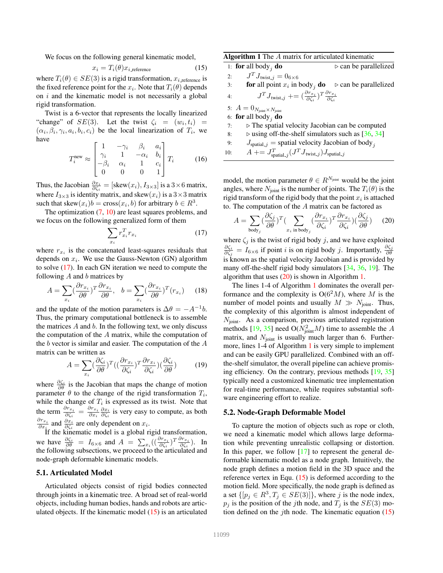We focus on the following general kinematic model,

$$
x_i = T_i(\theta) x_{i, \text{reference}} \tag{15}
$$

where  $T_i(\theta) \in SE(3)$  is a rigid transformation,  $x_{i,\text{reference}}$  is the fixed reference point for the  $x_i$ . Note that  $T_i(\theta)$  depends on i and the kinematic model is not necessarily a global rigid transformation.

Twist is a 6-vector that represents the locally linearized "change" of  $SE(3)$ . Let the twist  $\zeta_i = (w_i, t_i)$  =  $(\alpha_i, \beta_i, \gamma_i, a_i, b_i, c_i)$  be the local linearization of  $T_i$ , we have

$$
T_i^{\text{new}} \approx \begin{bmatrix} 1 & -\gamma_i & \beta_i & a_i \\ \gamma_i & 1 & -\alpha_i & b_i \\ -\beta_i & \alpha_i & 1 & c_i \\ 0 & 0 & 0 & 1 \end{bmatrix} T_i \tag{16}
$$

Thus, the Jacobian  $\frac{\partial x_i}{\partial \zeta_i} = [\text{skew}(x_i), I_{3\times 3}]$  is a  $3\times 6$  matrix, where  $I_{3\times 3}$  is identity matrix, and skew $(x_i)$  is a  $3\times 3$  matrix such that skew $(x_i)b = \text{cross}(x_i, b)$  for arbitrary  $b \in R^3$ .

The optimization (7, 10) are least squares problems, and we focus on the following generalized form of them

$$
\sum_{x_i} r_{x_i}^T r_{x_i} \tag{17}
$$

where  $r_{x_i}$  is the concatenated least-squares residuals that depends on  $x_i$ . We use the Gauss-Newton (GN) algorithm to solve (17). In each GN iteration we need to compute the following  $A$  and  $b$  matrices by

$$
A = \sum_{x_i} \left(\frac{\partial r_{x_i}}{\partial \theta}\right)^T \frac{\partial r_{x_i}}{\partial \theta}, \quad b = \sum_{x_i} \left(\frac{\partial r_{x_i}}{\partial \theta}\right)^T (r_{x_i}) \tag{18}
$$

and the update of the motion parameters is  $\Delta \theta = -A^{-1}b$ . Thus, the primary computational bottleneck is to assemble the matrices  $A$  and  $b$ . In the following text, we only discuss the computation of the A matrix, while the computation of the b vector is similar and easier. The computation of the A matrix can be written as

$$
A = \sum_{x_i} \left(\frac{\partial \zeta_i}{\partial \theta}\right)^T \left(\left(\frac{\partial r_{x_i}}{\partial \zeta_i}\right)^T \frac{\partial r_{x_i}}{\partial \zeta_i}\right) \left(\frac{\partial \zeta_i}{\partial \theta}\right) \tag{19}
$$

where  $\frac{\partial \zeta_i}{\partial \theta}$  is the Jacobian that maps the change of motion parameter  $\theta$  to the change of the rigid transformation  $T_i$ , while the change of  $T_i$  is expressed as its twist. Note that the term  $\frac{\partial r_{x_i}}{\partial \zeta_i} = \frac{\partial r_{x_i}}{\partial x_i} \frac{\partial x_i}{\partial \zeta_i}$  is very easy to compute, as both  $\frac{\partial r_{x_i}}{\partial x_i}$  and  $\frac{\partial x_i}{\partial \zeta_i}$  are only dependent on  $x_i$ .

If the kinematic model is a global rigid transformation, we have  $\frac{\partial \zeta_i}{\partial \theta} = I_{6 \times 6}$  and  $A = \sum_{x_i} \left( \left( \frac{\partial r_{x_i}}{\partial \zeta_i} \right)^T \frac{\partial r_{x_i}}{\partial \zeta_i} \right)$ . In the following subsections, we proceed to the articulated and node-graph deformable kinematic models.

# 5.1. Articulated Model

Articulated objects consist of rigid bodies connected through joints in a kinematic tree. A broad set of real-world objects, including human bodies, hands and robots are articulated objects. If the kinematic model (15) is an articulated Algorithm 1 The A matrix for articulated kinematic

|     | 1: for all body <sub>j</sub> do                                                                                           | $\triangleright$ can be parallelized |
|-----|---------------------------------------------------------------------------------------------------------------------------|--------------------------------------|
| 2:  | $J^T J_{\text{twist}_-i} = 0_{6 \times 6}$                                                                                |                                      |
| 3:  | <b>for</b> all point $x_i$ in body, <b>do</b>                                                                             | $\triangleright$ can be parallelized |
| 4:  | $J^T J_{\text{twist},j} \mathrel{+}= (\frac{\partial r_{x_i}}{\partial \zeta})^T \frac{\partial r_{x_i}}{\partial \zeta}$ |                                      |
|     | 5: $A = 0_{N_{\text{joint}} \times N_{\text{joint}}}$                                                                     |                                      |
|     | 6: for all body <sub><i>i</i></sub> do                                                                                    |                                      |
| 7:  | $\triangleright$ The spatial velocity Jacobian can be computed                                                            |                                      |
| 8:  | $\triangleright$ using off-the-shelf simulators such as [36, 34]                                                          |                                      |
| 9:  | $J_{\text{spatial},j}$ = spatial velocity Jacobian of body,                                                               |                                      |
| 10: | $A + = J_{\text{spatial}_i}^T (J^T J_{\text{twist}_i}) J_{\text{spatial}_i}$                                              |                                      |

model, the motion parameter  $\theta \in R^{N_{joint}}$  would be the joint angles, where  $N_{\text{joint}}$  is the number of joints. The  $T_i(\theta)$  is the rigid transform of the rigid body that the point  $x_i$  is attached to. The computation of the A matrix can be factored as

$$
A = \sum_{\text{body}_j} \left(\frac{\partial \zeta_j}{\partial \theta}\right)^T \left(\sum_{x_i \text{ in body}_j} \left(\frac{\partial r_{x_i}}{\partial \zeta_i}\right)^T \frac{\partial r_{x_i}}{\partial \zeta_i}\right) \left(\frac{\partial \zeta_j}{\partial \theta}\right) \tag{20}
$$

where  $\zeta_j$  is the twist of rigid body j, and we have exploited  $\frac{\partial \zeta_i}{\partial \zeta_j} = I_{6\times 6}$  if point *i* is on rigid body *j*. Importantly,  $\frac{\partial \zeta_j}{\partial \theta}$ is known as the spatial velocity Jacobian and is provided by many off-the-shelf rigid body simulators [34, 36, 19]. The algorithm that uses  $(20)$  is shown in Algorithm 1.

The lines 1-4 of Algorithm 1 dominates the overall performance and the complexity is  $O(6<sup>2</sup>M)$ , where M is the number of model points and usually  $M \gg N_{\text{joint}}$ . Thus, the complexity of this algorithm is almost independent of  $N_{\text{joint}}$ . As a comparison, previous articulated registration methods [19, 35] need  $O(N_{joint}^2M)$  time to assemble the A matrix, and  $N_{\text{joint}}$  is usually much larger than 6. Furthermore, lines 1-4 of Algorithm 1 is very simple to implement and can be easily GPU parallelized. Combined with an offthe-shelf simulator, the overall pipeline can achieve promising efficiency. On the contrary, previous methods [19, 35] typically need a customized kinematic tree implementation for real-time performance, while requires substantial software engineering effort to realize.

#### 5.2. Node-Graph Deformable Model

To capture the motion of objects such as rope or cloth, we need a kinematic model which allows large deformation while preventing unrealistic collapsing or distortion. In this paper, we follow  $[17]$  to represent the general deformable kinematic model as a node graph. Intuitively, the node graph defines a motion field in the 3D space and the reference vertex in Equ.  $(15)$  is deformed according to the motion field. More specifically, the node graph is defined as a set  $\{ [p_j \in \mathbb{R}^3, T_j \in SE(3)] \}$ , where j is the node index,  $p_j$  is the position of the jth node, and  $T_j$  is the  $SE(3)$  motion defined on the *j*th node. The kinematic equation  $(15)$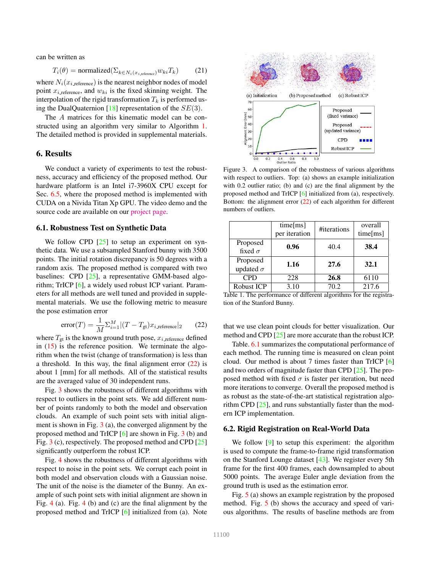can be written as

$$
T_i(\theta) = normalized(\Sigma_{k \in N_i(x_{i, reference})} w_{ki} T_k)
$$
 (21)

where  $N_i(x_i)$  reference) is the nearest neighbor nodes of model point  $x_{i}$  reference, and  $w_{ki}$  is the fixed skinning weight. The interpolation of the rigid transformation  $T_k$  is performed using the DualQuaternion [18] representation of the  $SE(3)$ .

The A matrices for this kinematic model can be constructed using an algorithm very similar to Algorithm 1. The detailed method is provided in supplemental materials.

### 6. Results

We conduct a variety of experiments to test the robustness, accuracy and efficiency of the proposed method. Our hardware platform is an Intel i7-3960X CPU except for Sec. 6.5, where the proposed method is implemented with CUDA on a Nivida Titan Xp GPU. The video demo and the source code are available on our project page.

#### 6.1. Robustness Test on Synthetic Data

We follow CPD  $[25]$  to setup an experiment on synthetic data. We use a subsampled Stanford bunny with 3500 points. The initial rotation discrepancy is 50 degrees with a random axis. The proposed method is compared with two baselines: CPD [25], a representative GMM-based algorithm; TrICP [6], a widely used robust ICP variant. Parameters for all methods are well tuned and provided in supplemental materials. We use the following metric to measure the pose estimation error

$$
error(T) = \frac{1}{M} \sum_{i=1}^{M} |(T - T_{gt})x_{i\text{.reference}}|_2 \qquad (22)
$$

where  $T_{gt}$  is the known ground truth pose,  $x_{i{\text{.reference}}}$  defined in  $(15)$  is the reference position. We terminate the algorithm when the twist (change of transformation) is less than a threshold. In this way, the final alignment error  $(22)$  is about 1 [mm] for all methods. All of the statistical results are the averaged value of 30 independent runs.

Fig. 3 shows the robustness of different algorithms with respect to outliers in the point sets. We add different number of points randomly to both the model and observation clouds. An example of such point sets with initial alignment is shown in Fig. 3 (a), the converged alignment by the proposed method and TrICP [6] are shown in Fig. 3 (b) and Fig. 3 (c), respectively. The proposed method and CPD [25] significantly outperform the robust ICP.

Fig. 4 shows the robustness of different algorithms with respect to noise in the point sets. We corrupt each point in both model and observation clouds with a Gaussian noise. The unit of the noise is the diameter of the Bunny. An example of such point sets with initial alignment are shown in Fig. 4 (a). Fig. 4 (b) and (c) are the final alignment by the proposed method and TrICP [6] initialized from (a). Note



Figure 3. A comparison of the robustness of various algorithms with respect to outliers. Top: (a) shows an example initialization with 0.2 outlier ratio; (b) and (c) are the final alignment by the proposed method and TrICP [6] initialized from (a), respectively. Bottom: the alignment error (22) of each algorithm for different numbers of outliers.

|                  | time[ms]<br>per iteration | #iterations | overall<br>time[ms] |  |
|------------------|---------------------------|-------------|---------------------|--|
| Proposed         |                           |             |                     |  |
| fixed $\sigma$   | 0.96                      | 40.4        | 38.4                |  |
| Proposed         | 1.16                      | 27.6        | 32.1                |  |
| updated $\sigma$ |                           |             |                     |  |
| <b>CPD</b>       | 228                       | 26.8        | 6110                |  |
| Robust ICP<br>.  | 3.10<br>-----             | 70.2        | 217.6               |  |

Table 1. The performance of different algorithms for the registration of the Stanford Bunny.

that we use clean point clouds for better visualization. Our method and CPD [25] are more accurate than the robust ICP.

Table. 6.1 summarizes the computational performance of each method. The running time is measured on clean point cloud. Our method is about 7 times faster than TrICP [6] and two orders of magnitude faster than CPD [25]. The proposed method with fixed  $\sigma$  is faster per iteration, but need more iterations to converge. Overall the proposed method is as robust as the state-of-the-art statistical registration algorithm CPD [25], and runs substantially faster than the modern ICP implementation.

#### 6.2. Rigid Registration on Real-World Data

We follow [9] to setup this experiment: the algorithm is used to compute the frame-to-frame rigid transformation on the Stanford Lounge dataset [43]. We register every 5th frame for the first 400 frames, each downsampled to about 5000 points. The average Euler angle deviation from the ground truth is used as the estimation error.

Fig. 5 (a) shows an example registration by the proposed method. Fig. 5 (b) shows the accuracy and speed of various algorithms. The results of baseline methods are from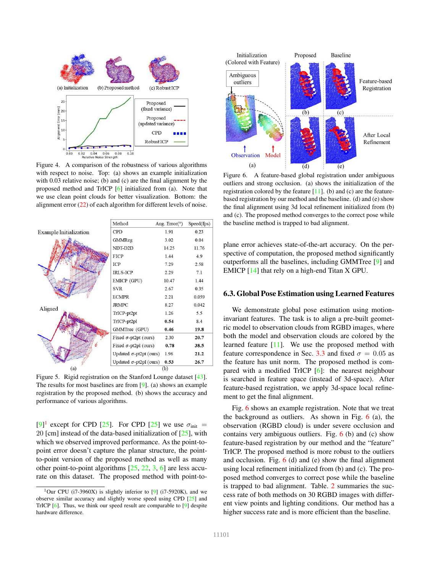

Figure 4. A comparison of the robustness of various algorithms with respect to noise. Top: (a) shows an example initialization with 0.03 relative noise; (b) and (c) are the final alignment by the proposed method and TrICP [6] initialized from (a). Note that we use clean point clouds for better visualization. Bottom: the alignment error (22) of each algorithm for different levels of noise.



Figure 5. Rigid registration on the Stanford Lounge dataset [43]. The results for most baselines are from [9]. (a) shows an example registration by the proposed method. (b) shows the accuracy and performance of various algorithms.

 $[9]$ <sup>1</sup> except for CPD [25]. For CPD [25] we use  $\sigma_{init}$  = 20 [cm] instead of the data-based initialization of  $[25]$ , with which we observed improved performance. As the point-topoint error doesn't capture the planar structure, the pointto-point version of the proposed method as well as many other point-to-point algorithms  $[25, 22, 3, 6]$  are less accurate on this dataset. The proposed method with point-to-



Figure 6. A feature-based global registration under ambiguous outliers and strong occlusion. (a) shows the initialization of the registration colored by the feature  $[11]$ . (b) and (c) are the featurebased registration by our method and the baseline. (d) and (e) show the final alignment using 3d local refinement initialized from (b) and (c). The proposed method converges to the correct pose while the baseline method is trapped to bad alignment.

plane error achieves state-of-the-art accuracy. On the perspective of computation, the proposed method significantly outperforms all the baselines, including GMMTree [9] and EMICP [14] that rely on a high-end Titan X GPU.

# 6.3. Global Pose Estimation using Learned Features

We demonstrate global pose estimation using motioninvariant features. The task is to align a pre-built geometric model to observation clouds from RGBD images, where both the model and observation clouds are colored by the learned feature [11]. We use the proposed method with feature correspondence in Sec. 3.3 and fixed  $\sigma = 0.05$  as the feature has unit norm. The proposed method is compared with a modified TrICP [6]: the nearest neighbour is searched in feature space (instead of 3d-space). After feature-based registration, we apply 3d-space local refinement to get the final alignment.

Fig. 6 shows an example registration. Note that we treat the background as outliers. As shown in Fig.  $6$  (a), the observation (RGBD cloud) is under severe occlusion and contains very ambiguous outliers. Fig.  $6$  (b) and (c) show feature-based registration by our method and the "feature" TrICP. The proposed method is more robust to the outliers and occlusion. Fig.  $6$  (d) and (e) show the final alignment using local refinement initialized from (b) and (c). The proposed method converges to correct pose while the baseline is trapped to bad alignment. Table. 2 summaries the success rate of both methods on 30 RGBD images with different view points and lighting conditions. Our method has a higher success rate and is more efficient than the baseline.

<sup>&</sup>lt;sup>1</sup>Our CPU (i7-3960X) is slightly inferior to  $[9]$  (i7-5920K), and we observe similar accuracy and slightly worse speed using CPD [25] and TrICP [6]. Thus, we think our speed result are comparable to [9] despite hardware difference.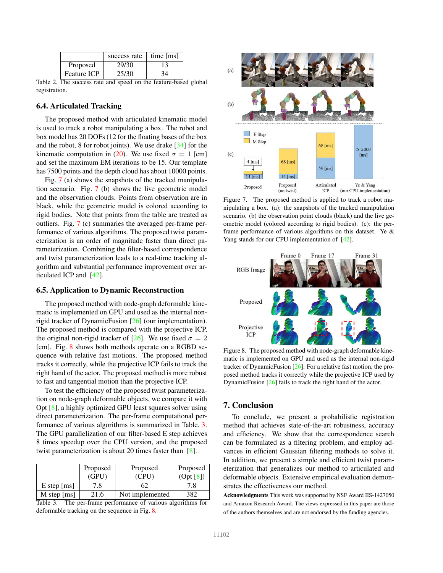|                    | success rate | time $[ms]$ |
|--------------------|--------------|-------------|
| Proposed           | 29/30        |             |
| <b>Feature ICP</b> | 25/30        |             |

Table 2. The success rate and speed on the feature-based global registration.

### 6.4. Articulated Tracking

The proposed method with articulated kinematic model is used to track a robot manipulating a box. The robot and box model has 20 DOFs (12 for the floating bases of the box and the robot, 8 for robot joints). We use drake [34] for the kinematic computation in (20). We use fixed  $\sigma = 1$  [cm] and set the maximum EM iterations to be 15. Our template has 7500 points and the depth cloud has about 10000 points.

Fig. 7 (a) shows the snapshots of the tracked manipulation scenario. Fig. 7 (b) shows the live geometric model and the observation clouds. Points from observation are in black, while the geometric model is colored according to rigid bodies. Note that points from the table are treated as outliers. Fig. 7 (c) summaries the averaged per-frame performance of various algorithms. The proposed twist parameterization is an order of magnitude faster than direct parameterization. Combining the filter-based correspondence and twist parameterization leads to a real-time tracking algorithm and substantial performance improvement over articulated ICP and [42].

# 6.5. Application to Dynamic Reconstruction

The proposed method with node-graph deformable kinematic is implemented on GPU and used as the internal nonrigid tracker of DynamicFusion [26] (our implementation). The proposed method is compared with the projective ICP, the original non-rigid tracker of [26]. We use fixed  $\sigma = 2$ [cm]. Fig. 8 shows both methods operate on a RGBD sequence with relative fast motions. The proposed method tracks it correctly, while the projective ICP fails to track the right hand of the actor. The proposed method is more robust to fast and tangential motion than the projective ICP.

To test the efficiency of the proposed twist parameterization on node-graph deformable objects, we compare it with Opt [8], a highly optimized GPU least squares solver using direct parameterization. The per-frame computational performance of various algorithms is summarized in Table. 3. The GPU parallelization of our filter-based E step achieves 8 times speedup over the CPU version, and the proposed twist parameterization is about 20 times faster than [8].

|                           | Proposed | Proposed        | Proposed  |
|---------------------------|----------|-----------------|-----------|
|                           | (GPU)    | (CPU)           | (Opt [8]) |
| $E$ step [ms]             | 7.8      | 62              | 7.8       |
| M step $\lceil ms \rceil$ | 21.6     | Not implemented | 382       |

Table 3. The per-frame performance of various algorithms for deformable tracking on the sequence in Fig. 8.



Figure 7. The proposed method is applied to track a robot manipulating a box. (a): the snapshots of the tracked manipulation scenario. (b) the observation point clouds (black) and the live geometric model (colored according to rigid bodies). (c): the perframe performance of various algorithms on this dataset. Ye & Yang stands for our CPU implementation of [42].



Figure 8. The proposed method with node-graph deformable kinematic is implemented on GPU and used as the internal non-rigid tracker of DynamicFusion [26]. For a relative fast motion, the proposed method tracks it correctly while the projective ICP used by DynamicFusion [26] fails to track the right hand of the actor.

# 7. Conclusion

To conclude, we present a probabilistic registration method that achieves state-of-the-art robustness, accuracy and efficiency. We show that the correspondence search can be formulated as a filtering problem, and employ advances in efficient Gaussian filtering methods to solve it. In addition, we present a simple and efficient twist parameterization that generalizes our method to articulated and deformable objects. Extensive empirical evaluation demonstrates the effectiveness our method.

Acknowledgments This work was supported by NSF Award IIS-1427050 and Amazon Research Award. The views expressed in this paper are those of the authors themselves and are not endorsed by the funding agencies.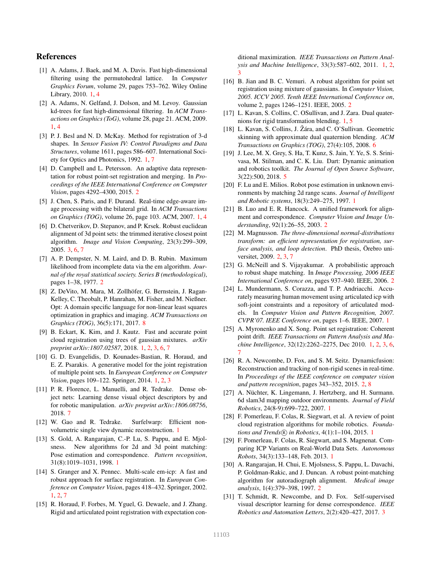# References

- [1] A. Adams, J. Baek, and M. A. Davis. Fast high-dimensional filtering using the permutohedral lattice. In *Computer Graphics Forum*, volume 29, pages 753–762. Wiley Online Library, 2010. 1, 4
- [2] A. Adams, N. Gelfand, J. Dolson, and M. Levoy. Gaussian kd-trees for fast high-dimensional filtering. In *ACM Transactions on Graphics (ToG)*, volume 28, page 21. ACM, 2009. 1, 4
- [3] P. J. Besl and N. D. McKay. Method for registration of 3-d shapes. In *Sensor Fusion IV: Control Paradigms and Data Structures*, volume 1611, pages 586–607. International Society for Optics and Photonics, 1992. 1, 7
- [4] D. Campbell and L. Petersson. An adaptive data representation for robust point-set registration and merging. In *Proceedings of the IEEE International Conference on Computer Vision*, pages 4292–4300, 2015. 2
- [5] J. Chen, S. Paris, and F. Durand. Real-time edge-aware image processing with the bilateral grid. In *ACM Transactions on Graphics (TOG)*, volume 26, page 103. ACM, 2007. 1, 4
- [6] D. Chetverikov, D. Stepanov, and P. Krsek. Robust euclidean alignment of 3d point sets: the trimmed iterative closest point algorithm. *Image and Vision Computing*, 23(3):299–309, 2005. 3, 6, 7
- [7] A. P. Dempster, N. M. Laird, and D. B. Rubin. Maximum likelihood from incomplete data via the em algorithm. *Journal of the royal statistical society. Series B (methodological)*, pages 1–38, 1977. 2
- [8] Z. DeVito, M. Mara, M. Zollhöfer, G. Bernstein, J. Ragan-Kelley, C. Theobalt, P. Hanrahan, M. Fisher, and M. Nießner. Opt: A domain specific language for non-linear least squares optimization in graphics and imaging. *ACM Transactions on Graphics (TOG)*, 36(5):171, 2017. 8
- [9] B. Eckart, K. Kim, and J. Kautz. Fast and accurate point cloud registration using trees of gaussian mixtures. *arXiv preprint arXiv:1807.02587*, 2018. 1, 2, 3, 6, 7
- [10] G. D. Evangelidis, D. Kounades-Bastian, R. Horaud, and E. Z. Psarakis. A generative model for the joint registration of multiple point sets. In *European Conference on Computer Vision*, pages 109–122. Springer, 2014. 1, 2, 3
- [11] P. R. Florence, L. Manuelli, and R. Tedrake. Dense object nets: Learning dense visual object descriptors by and for robotic manipulation. *arXiv preprint arXiv:1806.08756*, 2018. 7
- [12] W. Gao and R. Tedrake. Surfelwarp: Efficient nonvolumetric single view dynamic reconstruction. 1
- [13] S. Gold, A. Rangarajan, C.-P. Lu, S. Pappu, and E. Mjolsness. New algorithms for 2d and 3d point matching: Pose estimation and correspondence. *Pattern recognition*, 31(8):1019–1031, 1998. 1
- [14] S. Granger and X. Pennec. Multi-scale em-icp: A fast and robust approach for surface registration. In *European Conference on Computer Vision*, pages 418–432. Springer, 2002. 1, 2, 7
- [15] R. Horaud, F. Forbes, M. Yguel, G. Dewaele, and J. Zhang. Rigid and articulated point registration with expectation con-

ditional maximization. *IEEE Transactions on Pattern Analysis and Machine Intelligence*, 33(3):587–602, 2011. 1, 2, 3

- [16] B. Jian and B. C. Vemuri. A robust algorithm for point set registration using mixture of gaussians. In *Computer Vision, 2005. ICCV 2005. Tenth IEEE International Conference on*, volume 2, pages 1246–1251. IEEE, 2005. 2
- [17] L. Kavan, S. Collins, C. OSullivan, and J. Zara. Dual quaternions for rigid transformation blending. 1, 5
- [18] L. Kavan, S. Collins, J. Žára, and C. O'Sullivan. Geometric skinning with approximate dual quaternion blending. *ACM Transactions on Graphics (TOG)*, 27(4):105, 2008. 6
- [19] J. Lee, M. X. Grey, S. Ha, T. Kunz, S. Jain, Y. Ye, S. S. Srinivasa, M. Stilman, and C. K. Liu. Dart: Dynamic animation and robotics toolkit. *The Journal of Open Source Software*, 3(22):500, 2018. 5
- [20] F. Lu and E. Milios. Robot pose estimation in unknown environments by matching 2d range scans. *Journal of Intelligent and Robotic systems*, 18(3):249–275, 1997. 1
- [21] B. Luo and E. R. Hancock. A unified framework for alignment and correspondence. *Computer Vision and Image Understanding*, 92(1):26–55, 2003. 2
- [22] M. Magnusson. *The three-dimensional normal-distributions transform: an efficient representation for registration, surface analysis, and loop detection.* PhD thesis, Orebro universitet, 2009. 2, 3, 7
- [23] G. McNeill and S. Vijayakumar. A probabilistic approach to robust shape matching. In *Image Processing, 2006 IEEE International Conference on*, pages 937–940. IEEE, 2006. 2
- [24] L. Mundermann, S. Corazza, and T. P. Andriacchi. Accurately measuring human movement using articulated icp with soft-joint constraints and a repository of articulated models. In *Computer Vision and Pattern Recognition, 2007. CVPR'07. IEEE Conference on*, pages 1–6. IEEE, 2007. 1
- [25] A. Myronenko and X. Song. Point set registration: Coherent point drift. *IEEE Transactions on Pattern Analysis and Machine Intelligence*, 32(12):2262–2275, Dec 2010. 1, 2, 3, 6, 7
- [26] R. A. Newcombe, D. Fox, and S. M. Seitz. Dynamicfusion: Reconstruction and tracking of non-rigid scenes in real-time. In *Proceedings of the IEEE conference on computer vision and pattern recognition*, pages 343–352, 2015. 2, 8
- [27] A. Nüchter, K. Lingemann, J. Hertzberg, and H. Surmann. 6d slam3d mapping outdoor environments. *Journal of Field Robotics*, 24(8-9):699–722, 2007. 1
- [28] F. Pomerleau, F. Colas, R. Siegwart, et al. A review of point cloud registration algorithms for mobile robotics. *Foundations and Trends*(*R*) *in Robotics*, 4(1):1-104, 2015. 1
- [29] F. Pomerleau, F. Colas, R. Siegwart, and S. Magnenat. Comparing ICP Variants on Real-World Data Sets. *Autonomous Robots*, 34(3):133–148, Feb. 2013. 1
- [30] A. Rangarajan, H. Chui, E. Mjolsness, S. Pappu, L. Davachi, P. Goldman-Rakic, and J. Duncan. A robust point-matching algorithm for autoradiograph alignment. *Medical image analysis*, 1(4):379–398, 1997. 2
- [31] T. Schmidt, R. Newcombe, and D. Fox. Self-supervised visual descriptor learning for dense correspondence. *IEEE Robotics and Automation Letters*, 2(2):420–427, 2017. 3